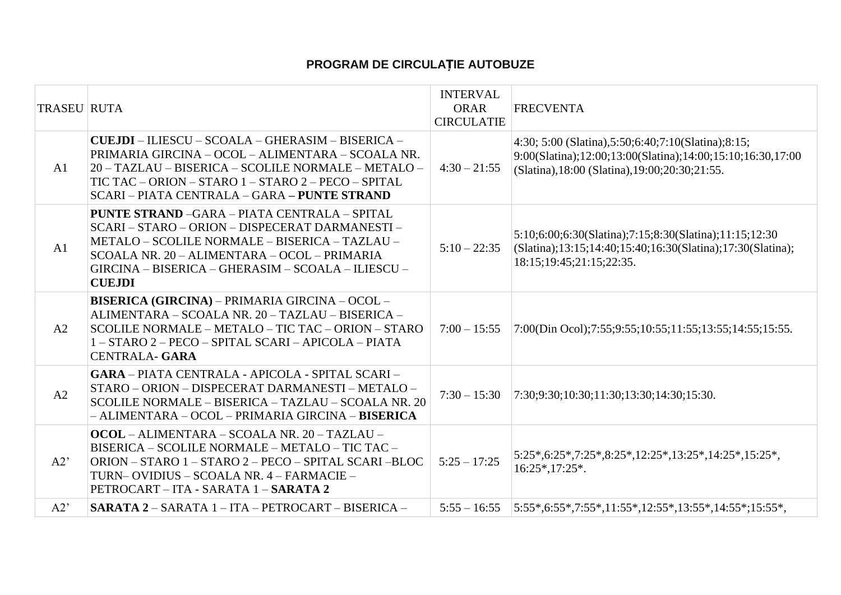## **PROGRAM DE CIRCULAȚIE AUTOBUZE**

| <b>TRASEU RUTA</b> |                                                                                                                                                                                                                                                                                 | <b>INTERVAL</b><br><b>ORAR</b> | <b>FRECVENTA</b>                                                                                                                                                          |
|--------------------|---------------------------------------------------------------------------------------------------------------------------------------------------------------------------------------------------------------------------------------------------------------------------------|--------------------------------|---------------------------------------------------------------------------------------------------------------------------------------------------------------------------|
|                    |                                                                                                                                                                                                                                                                                 | <b>CIRCULATIE</b>              |                                                                                                                                                                           |
| A1                 | CUEJDI - ILIESCU - SCOALA - GHERASIM - BISERICA -<br>PRIMARIA GIRCINA - OCOL - ALIMENTARA - SCOALA NR.<br>20 - TAZLAU - BISERICA - SCOLILE NORMALE - METALO -<br>TIC TAC - ORION - STARO 1 - STARO 2 - PECO - SPITAL<br>SCARI – PIATA CENTRALA – GARA – PUNTE STRAND            | $4:30 - 21:55$                 | 4:30; 5:00 (Slatina), 5:50; 6:40; 7:10 (Slatina); 8:15;<br>9:00(Slatina);12:00;13:00(Slatina);14:00;15:10;16:30,17:00<br>(Slatina), 18:00 (Slatina), 19:00; 20:30; 21:55. |
| A1                 | <b>PUNTE STRAND -GARA - PIATA CENTRALA - SPITAL</b><br>SCARI - STARO - ORION - DISPECERAT DARMANESTI -<br>METALO - SCOLILE NORMALE - BISERICA - TAZLAU -<br>SCOALA NR. 20 - ALIMENTARA - OCOL - PRIMARIA<br>GIRCINA - BISERICA - GHERASIM - SCOALA - ILIESCU -<br><b>CUEJDI</b> | $5:10 - 22:35$                 | 5:10;6:00;6:30(Slatina);7:15;8:30(Slatina);11:15;12:30<br>(Slatina);13:15:14:40;15:40;16:30(Slatina);17:30(Slatina);<br>18:15:19:45:21:15:22:35.                          |
| A2                 | <b>BISERICA (GIRCINA) – PRIMARIA GIRCINA – OCOL –</b><br>ALIMENTARA - SCOALA NR. 20 - TAZLAU - BISERICA -<br>SCOLILE NORMALE - METALO - TIC TAC - ORION - STARO<br>1 - STARO 2 - PECO - SPITAL SCARI - APICOLA - PIATA<br><b>CENTRALA- GARA</b>                                 | $7:00 - 15:55$                 | 7:00(Din Ocol);7:55;9:55;10:55;11:55;13:55;14:55;15:55.                                                                                                                   |
| A2                 | <b>GARA - PIATA CENTRALA - APICOLA - SPITAL SCARI -</b><br>STARO - ORION - DISPECERAT DARMANESTI - METALO -<br>SCOLILE NORMALE - BISERICA - TAZLAU - SCOALA NR. 20<br>- ALIMENTARA - OCOL - PRIMARIA GIRCINA - BISERICA                                                         | $7:30 - 15:30$                 | 7:30;9:30;10:30;11:30;13:30;14:30;15:30.                                                                                                                                  |
| A2'                | $OCOL - ALIMENTIALA - SCOALA NR. 20 - TAZLAU -$<br>BISERICA - SCOLILE NORMALE - METALO - TIC TAC -<br>ORION - STARO 1 - STARO 2 - PECO - SPITAL SCARI -BLOC<br>TURN-OVIDIUS – SCOALA NR. 4 – FARMACIE –<br>PETROCART - ITA - SARATA 1 - SARATA 2                                | $5:25 - 17:25$                 | $5:25*,6:25*,7:25*,8:25*,12:25*,13:25*,14:25*,15:25*,$<br>$16:25*,17:25*.$                                                                                                |
| A2'                | SARATA 2 - SARATA 1 - ITA - PETROCART - BISERICA -                                                                                                                                                                                                                              | $5:55 - 16:55$                 | $ 5:55*,6:55*,7:55*,11:55*,12:55*,13:55*,14:55*;15:55*,$                                                                                                                  |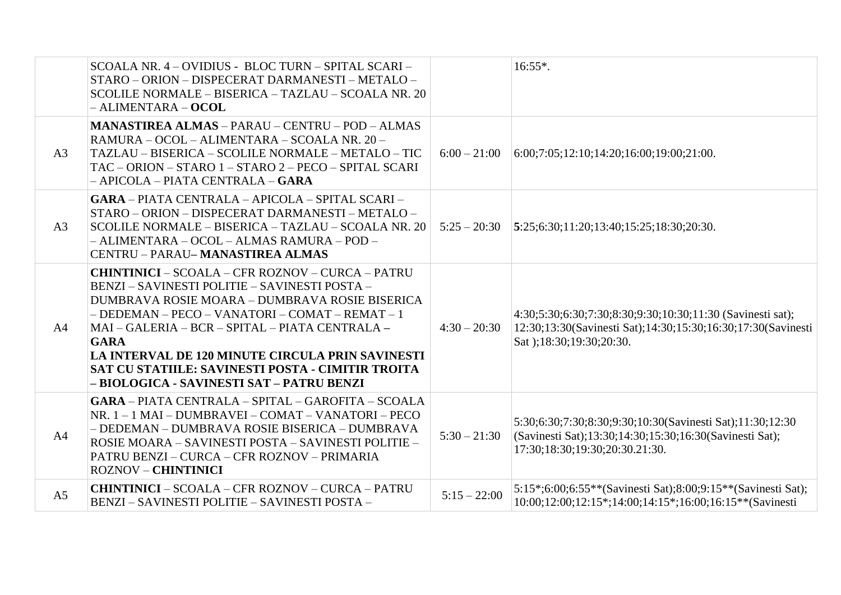|                | SCOALA NR. 4 - OVIDIUS - BLOC TURN - SPITAL SCARI -<br>STARO - ORION - DISPECERAT DARMANESTI - METALO -<br>SCOLILE NORMALE - BISERICA - TAZLAU - SCOALA NR. 20<br>$-ALIMENTIALA - OCOL$                                                                                                                                                                                                                                                      |                | $16:55*$ .                                                                                                                                             |
|----------------|----------------------------------------------------------------------------------------------------------------------------------------------------------------------------------------------------------------------------------------------------------------------------------------------------------------------------------------------------------------------------------------------------------------------------------------------|----------------|--------------------------------------------------------------------------------------------------------------------------------------------------------|
| A <sub>3</sub> | <b>MANASTIREA ALMAS - PARAU - CENTRU - POD - ALMAS</b><br>RAMURA - OCOL - ALIMENTARA - SCOALA NR. 20 -<br>TAZLAU - BISERICA - SCOLILE NORMALE - METALO - TIC<br>TAC - ORION - STARO 1 - STARO 2 - PECO - SPITAL SCARI<br>- APICOLA - PIATA CENTRALA - GARA                                                                                                                                                                                   | $6:00 - 21:00$ | $6:00;7:05;12:10;14:20;16:00;19:00;21:00.$                                                                                                             |
| A3             | <b>GARA - PIATA CENTRALA - APICOLA - SPITAL SCARI -</b><br>STARO - ORION - DISPECERAT DARMANESTI - METALO -<br>SCOLILE NORMALE - BISERICA - TAZLAU - SCOALA NR. 20<br>- ALIMENTARA - OCOL - ALMAS RAMURA - POD -<br><b>CENTRU - PARAU- MANASTIREA ALMAS</b>                                                                                                                                                                                  | $5:25 - 20:30$ | $\vert 5:25;6:30;11:20;13:40;15:25;18:30;20:30.$                                                                                                       |
| A <sub>4</sub> | <b>CHINTINICI - SCOALA - CFR ROZNOV - CURCA - PATRU</b><br>BENZI – SAVINESTI POLITIE – SAVINESTI POSTA –<br>DUMBRAVA ROSIE MOARA - DUMBRAVA ROSIE BISERICA<br>- DEDEMAN - PECO - VANATORI - COMAT - REMAT - 1<br>MAI - GALERIA - BCR - SPITAL - PIATA CENTRALA -<br><b>GARA</b><br><b>LA INTERVAL DE 120 MINUTE CIRCULA PRIN SAVINESTI</b><br>SAT CU STATIILE: SAVINESTI POSTA - CIMITIR TROITA<br>- BIOLOGICA - SAVINESTI SAT - PATRU BENZI | $4:30 - 20:30$ | 4:30;5:30;6:30;7:30;8:30;9:30;10:30;11:30 (Savinesti sat);<br>12:30;13:30(Savinesti Sat);14:30;15:30;16:30;17:30(Savinesti<br>Sat :18:30;19:30;20:30.  |
| A4             | GARA - PIATA CENTRALA - SPITAL - GAROFITA - SCOALA<br>NR. 1 - 1 MAI - DUMBRAVEI - COMAT - VANATORI - PECO<br>- DEDEMAN - DUMBRAVA ROSIE BISERICA - DUMBRAVA<br>ROSIE MOARA - SAVINESTI POSTA - SAVINESTI POLITIE -<br>PATRU BENZI - CURCA - CFR ROZNOV - PRIMARIA<br><b>ROZNOV - CHINTINICI</b>                                                                                                                                              | $5:30 - 21:30$ | 5:30;6:30;7:30;8:30;9:30;10:30(Savinesti Sat);11:30;12:30<br>(Savinesti Sat);13:30;14:30;15:30;16:30(Savinesti Sat);<br>17:30;18:30;19:30;20:30.21:30. |
| A <sub>5</sub> | <b>CHINTINICI - SCOALA - CFR ROZNOV - CURCA - PATRU</b><br>BENZI - SAVINESTI POLITIE - SAVINESTI POSTA -                                                                                                                                                                                                                                                                                                                                     | $5:15 - 22:00$ | 5:15*;6:00;6:55**(Savinesti Sat);8:00;9:15**(Savinesti Sat);<br>10:00:12:00:12:15*:14:00:14:15*:16:00:16:15**(Savinesti                                |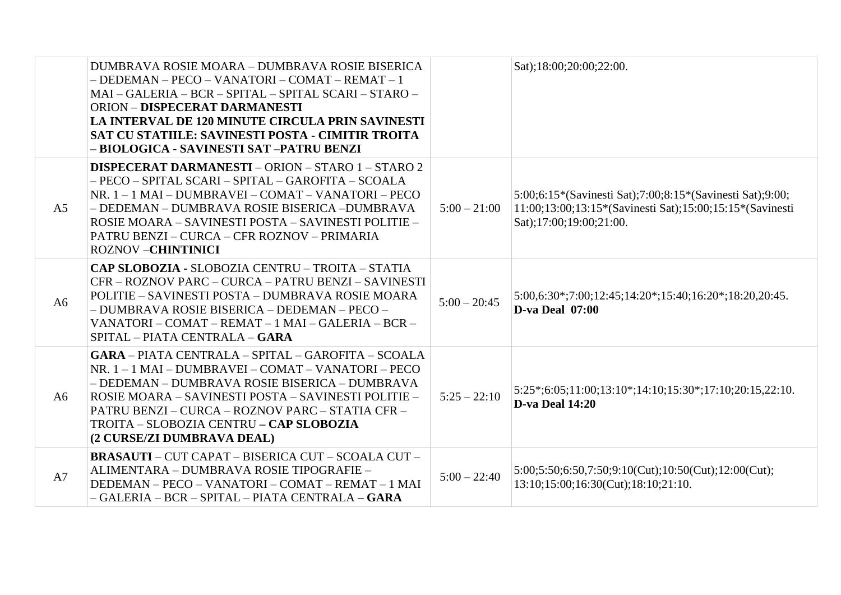|                | DUMBRAVA ROSIE MOARA - DUMBRAVA ROSIE BISERICA<br>- DEDEMAN - PECO - VANATORI - COMAT - REMAT - 1<br>MAI - GALERIA - BCR - SPITAL - SPITAL SCARI - STARO -<br><b>ORION - DISPECERAT DARMANESTI</b><br>LA INTERVAL DE 120 MINUTE CIRCULA PRIN SAVINESTI<br>SAT CU STATIILE: SAVINESTI POSTA - CIMITIR TROITA<br>- BIOLOGICA - SAVINESTI SAT -PATRU BENZI   |                | Sat);18:00;20:00;22:00.                                                                                                                          |
|----------------|-----------------------------------------------------------------------------------------------------------------------------------------------------------------------------------------------------------------------------------------------------------------------------------------------------------------------------------------------------------|----------------|--------------------------------------------------------------------------------------------------------------------------------------------------|
| A <sub>5</sub> | <b>DISPECERAT DARMANESTI - ORION - STARO 1 - STARO 2</b><br>- PECO - SPITAL SCARI - SPITAL - GAROFITA - SCOALA<br>NR. 1 - 1 MAI - DUMBRAVEI - COMAT - VANATORI - PECO<br>- DEDEMAN - DUMBRAVA ROSIE BISERICA - DUMBRAVA<br>ROSIE MOARA – SAVINESTI POSTA – SAVINESTI POLITIE –<br>PATRU BENZI - CURCA - CFR ROZNOV - PRIMARIA<br><b>ROZNOV-CHINTINICI</b> | $5:00 - 21:00$ | 5:00;6:15*(Savinesti Sat);7:00;8:15*(Savinesti Sat);9:00;<br>11:00;13:00;13:15*(Savinesti Sat);15:00;15:15*(Savinesti<br>Sat);17:00;19:00;21:00. |
| A <sub>6</sub> | CAP SLOBOZIA - SLOBOZIA CENTRU - TROITA - STATIA<br>CFR - ROZNOV PARC - CURCA - PATRU BENZI - SAVINESTI<br>POLITIE – SAVINESTI POSTA – DUMBRAVA ROSIE MOARA<br>- DUMBRAVA ROSIE BISERICA - DEDEMAN - PECO -<br>VANATORI - COMAT - REMAT - 1 MAI - GALERIA - BCR -<br>SPITAL - PIATA CENTRALA - GARA                                                       | $5:00 - 20:45$ | $5:00,6:30^*;7:00;12:45;14:20^*;15:40;16:20^*;18:20,20:45.$<br><b>D-va Deal 07:00</b>                                                            |
| A6             | GARA - PIATA CENTRALA - SPITAL - GAROFITA - SCOALA<br>NR. 1 - 1 MAI - DUMBRAVEI - COMAT - VANATORI - PECO<br>- DEDEMAN - DUMBRAVA ROSIE BISERICA - DUMBRAVA<br>ROSIE MOARA – SAVINESTI POSTA – SAVINESTI POLITIE –<br>PATRU BENZI – CURCA – ROZNOV PARC – STATIA CFR –<br>TROITA - SLOBOZIA CENTRU - CAP SLOBOZIA<br>(2 CURSE/ZI DUMBRAVA DEAL)           | $5:25 - 22:10$ | $5:25*(6:05;11:00;13:10*(14:10;15:30*(17:10;20:15,22:10.$<br><b>D-va Deal 14:20</b>                                                              |
| A7             | <b>BRASAUTI – CUT CAPAT – BISERICA CUT – SCOALA CUT –</b><br>ALIMENTARA - DUMBRAVA ROSIE TIPOGRAFIE -<br>DEDEMAN - PECO - VANATORI - COMAT - REMAT - 1 MAI<br>- GALERIA - BCR - SPITAL - PIATA CENTRALA <b>- GARA</b>                                                                                                                                     | $5:00 - 22:40$ | $5:00;5:50;6:50;7:50;9:10(Cut);10:50(Cut);12:00(Cut);$<br>13:10;15:00;16:30(Cut);18:10;21:10.                                                    |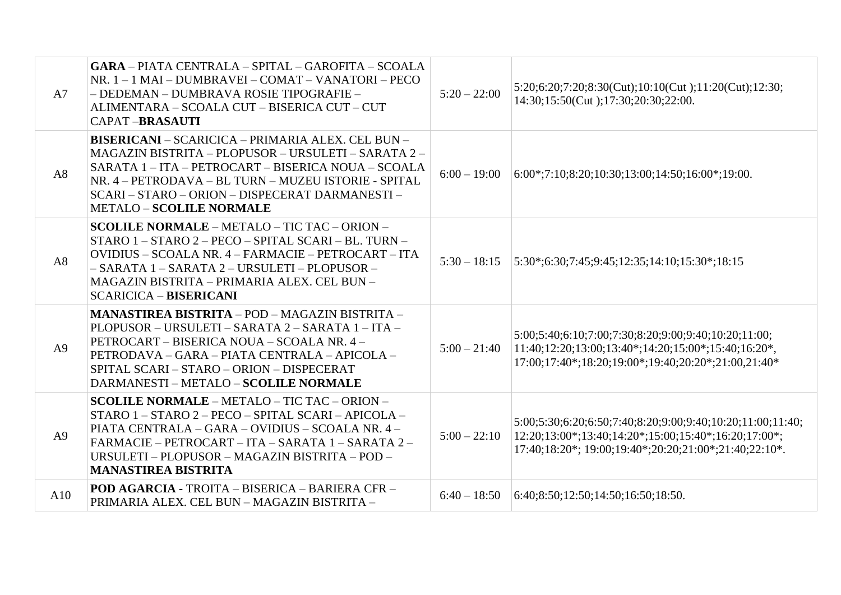| A7  | GARA - PIATA CENTRALA - SPITAL - GAROFITA - SCOALA<br>NR. 1 - 1 MAI - DUMBRAVEI - COMAT - VANATORI - PECO<br>- DEDEMAN - DUMBRAVA ROSIE TIPOGRAFIE -<br>ALIMENTARA - SCOALA CUT - BISERICA CUT - CUT<br><b>CAPAT-BRASAUTI</b>                                                                                        | $5:20 - 22:00$ | 5:20;6:20;7:20;8:30(Cut);10:10(Cut);11:20(Cut);12:30;<br>14:30;15:50(Cut);17:30;20:30;22:00.                                                                                |
|-----|----------------------------------------------------------------------------------------------------------------------------------------------------------------------------------------------------------------------------------------------------------------------------------------------------------------------|----------------|-----------------------------------------------------------------------------------------------------------------------------------------------------------------------------|
| A8  | <b>BISERICANI - SCARICICA - PRIMARIA ALEX. CEL BUN -</b><br>MAGAZIN BISTRITA - PLOPUSOR - URSULETI - SARATA 2 -<br>SARATA 1 - ITA - PETROCART - BISERICA NOUA - SCOALA<br>NR. 4 - PETRODAVA - BL TURN - MUZEU ISTORIE - SPITAL<br>SCARI - STARO - ORION - DISPECERAT DARMANESTI -<br><b>METALO - SCOLILE NORMALE</b> | $6:00 - 19:00$ | $6:00^{\ast};7:10;8:20;10:30;13:00;14:50;16:00^{\ast};19:00.$                                                                                                               |
| A8  | <b>SCOLILE NORMALE - METALO - TIC TAC - ORION -</b><br>STARO 1 - STARO 2 - PECO - SPITAL SCARI - BL. TURN -<br>OVIDIUS - SCOALA NR. 4 - FARMACIE - PETROCART - ITA<br>- SARATA 1 - SARATA 2 - URSULETI - PLOPUSOR -<br>MAGAZIN BISTRITA - PRIMARIA ALEX. CEL BUN -<br><b>SCARICICA - BISERICANI</b>                  | $5:30 - 18:15$ | $\vert 5:30^*; 6:30; 7:45; 9:45; 12:35; 14:10; 15:30^*; 18:15 \vert$                                                                                                        |
| A9  | <b>MANASTIREA BISTRITA - POD - MAGAZIN BISTRITA -</b><br>PLOPUSOR - URSULETI - SARATA 2 - SARATA 1 - ITA -<br>PETROCART - BISERICA NOUA - SCOALA NR. 4 -<br>PETRODAVA – GARA – PIATA CENTRALA – APICOLA –<br>SPITAL SCARI - STARO - ORION - DISPECERAT<br>DARMANESTI - METALO - SCOLILE NORMALE                      | $5:00 - 21:40$ | 5:00;5:40;6:10;7:00;7:30;8:20;9:00;9:40;10:20;11:00;<br>$11:40;12:20;13:00;13:40*;14:20;15:00*;15:40;16:20*$<br>17:00;17:40*;18:20;19:00*;19:40;20:20*;21:00,21:40*         |
| A9  | <b>SCOLILE NORMALE - METALO - TIC TAC - ORION -</b><br>STARO 1 - STARO 2 - PECO - SPITAL SCARI - APICOLA -<br>PIATA CENTRALA - GARA - OVIDIUS - SCOALA NR. 4 -<br>FARMACIE – PETROCART – ITA – SARATA 1 – SARATA 2 –<br>URSULETI - PLOPUSOR - MAGAZIN BISTRITA - POD -<br><b>MANASTIREA BISTRITA</b>                 | $5:00 - 22:10$ | 5:00:5:30:6:20:6:50:7:40:8:20:9:00:9:40:10:20:11:00:11:40:<br>12:20;13:00*;13:40;14:20*;15:00;15:40*;16:20;17:00*;<br>17:40;18:20*; 19:00;19:40*;20:20;21:00*;21:40;22:10*. |
| A10 | <b>POD AGARCIA - TROITA – BISERICA – BARIERA CFR –</b><br>PRIMARIA ALEX. CEL BUN - MAGAZIN BISTRITA -                                                                                                                                                                                                                | $6:40 - 18:50$ | 6:40;8:50;12:50;14:50;16:50;18:50.                                                                                                                                          |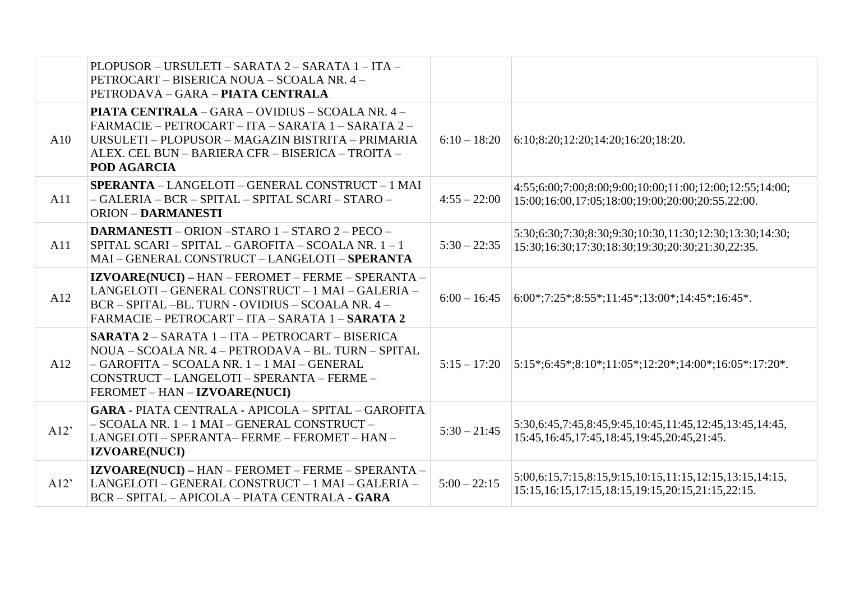|      | PLOPUSOR - URSULETI - SARATA 2 - SARATA 1 - ITA -<br>PETROCART - BISERICA NOUA - SCOALA NR. 4 -<br>PETRODAVA – GARA – PIATA CENTRALA                                                                                                   |                |                                                                                                                      |
|------|----------------------------------------------------------------------------------------------------------------------------------------------------------------------------------------------------------------------------------------|----------------|----------------------------------------------------------------------------------------------------------------------|
| A10  | <b>PIATA CENTRALA – GARA – OVIDIUS – SCOALA NR. 4 –</b><br>FARMACIE - PETROCART - ITA - SARATA 1 - SARATA 2 -<br>URSULETI - PLOPUSOR - MAGAZIN BISTRITA - PRIMARIA<br>ALEX. CEL BUN - BARIERA CFR - BISERICA - TROITA -<br>POD AGARCIA | $6:10 - 18:20$ | 6:10;8:20;12:20;14:20;16:20;18:20.                                                                                   |
| A11  | SPERANTA - LANGELOTI - GENERAL CONSTRUCT - 1 MAI<br>-GALERIA - BCR - SPITAL - SPITAL SCARI - STARO -<br><b>ORION - DARMANESTI</b>                                                                                                      | $4:55 - 22:00$ | 4:55;6:00;7:00;8:00;9:00;10:00;11:00;12:00;12:55;14:00;<br>15:00;16:00,17:05;18:00;19:00;20:00;20:55.22:00.          |
| A11  | <b>DARMANESTI - ORION -STARO 1 - STARO 2 - PECO -</b><br>SPITAL SCARI - SPITAL - GAROFITA - SCOALA NR. 1 - 1<br>MAI - GENERAL CONSTRUCT - LANGELOTI - SPERANTA                                                                         | $5:30 - 22:35$ | 5:30;6:30;7:30;8:30;9:30;10:30,11:30;12:30;13:30;14:30;<br>15:30;16:30;17:30;18:30;19:30;20:30;21:30,22:35.          |
| A12  | IZVOARE(NUCI) - HAN - FEROMET - FERME - SPERANTA -<br>LANGELOTI - GENERAL CONSTRUCT - 1 MAI - GALERIA -<br>BCR - SPITAL -BL. TURN - OVIDIUS - SCOALA NR. 4 -<br>FARMACIE - PETROCART - ITA - SARATA 1 - SARATA 2                       | $6:00 - 16:45$ | $ 6:00^{\ast};7:25^{\ast};8:55^{\ast};11:45^{\ast};13:00^{\ast};14:45^{\ast};16:45^{\ast}.$                          |
| A12  | SARATA 2 - SARATA 1 - ITA - PETROCART - BISERICA<br>NOUA – SCOALA NR. 4 – PETRODAVA – BL. TURN – SPITAL<br>- GAROFITA - SCOALA NR. 1 - 1 MAI - GENERAL<br>CONSTRUCT-LANGELOTI-SPERANTA-FERME-<br>FEROMET - HAN - IZVOARE(NUCI)         | $5:15 - 17:20$ | $ 5:15^*;6:45^*;8:10^*;11:05^*;12:20^*;14:00^*;16:05^*;17:20^*.$                                                     |
| A12' | <b>GARA - PIATA CENTRALA - APICOLA - SPITAL - GAROFITA</b><br>– SCOALA NR. 1 – 1 MAI – GENERAL CONSTRUCT –<br>LANGELOTI - SPERANTA- FERME - FEROMET - HAN -<br><b>IZVOARE(NUCI)</b>                                                    | $5:30 - 21:45$ | 5:30,6:45,7:45,8:45,9:45,10:45,11:45,12:45,13:45,14:45,<br>15:45, 16:45, 17:45, 18:45, 19:45, 20:45, 21:45.          |
| A12' | IZVOARE(NUCI) - HAN - FEROMET - FERME - SPERANTA -<br>LANGELOTI - GENERAL CONSTRUCT - 1 MAI - GALERIA -<br>BCR - SPITAL - APICOLA - PIATA CENTRALA - GARA                                                                              | $5:00 - 22:15$ | $5:00,6:15,7:15,8:15,9:15,10:15,11:15,12:15,13:15,14:15,$<br>15:15, 16:15, 17:15, 18:15, 19:15, 20:15, 21:15, 22:15. |